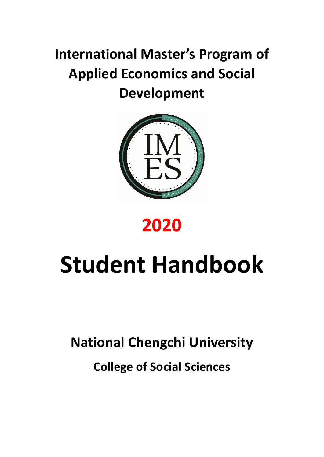# **International Master's Program of Applied Economics and Social Development**



# **2020**

# **Student Handbook**

# **National Chengchi University**

**College of Social Sciences**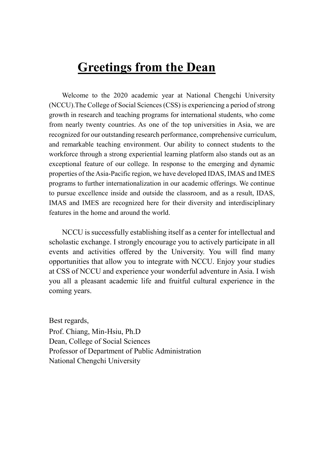# **Greetings from the Dean**

Welcome to the 2020 academic year at National Chengchi University (NCCU).The College of Social Sciences (CSS) is experiencing a period of strong growth in research and teaching programs for international students, who come from nearly twenty countries. As one of the top universities in Asia, we are recognized for our outstanding research performance, comprehensive curriculum, and remarkable teaching environment. Our ability to connect students to the workforce through a strong experiential learning platform also stands out as an exceptional feature of our college. In response to the emerging and dynamic properties of the Asia-Pacific region, we have developed IDAS, IMAS and IMES programs to further internationalization in our academic offerings. We continue to pursue excellence inside and outside the classroom, and as a result, IDAS, IMAS and IMES are recognized here for their diversity and interdisciplinary features in the home and around the world.

NCCU is successfully establishing itself as a center for intellectual and scholastic exchange. I strongly encourage you to actively participate in all events and activities offered by the University. You will find many opportunities that allow you to integrate with NCCU. Enjoy your studies at CSS of NCCU and experience your wonderful adventure in Asia. I wish you all a pleasant academic life and fruitful cultural experience in the coming years.

Best regards,

Prof. Chiang, Min-Hsiu, Ph.D Dean, College of Social Sciences Professor of Department of Public Administration National Chengchi University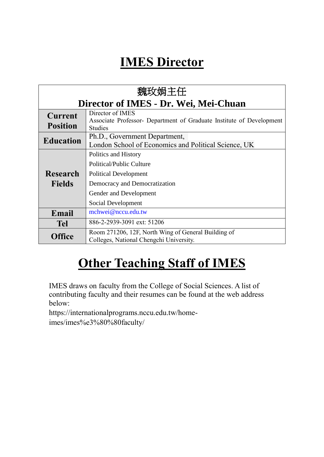# **IMES Director**

| 魏玫娟主任                                 |                                                                                                                                                                          |  |  |  |  |
|---------------------------------------|--------------------------------------------------------------------------------------------------------------------------------------------------------------------------|--|--|--|--|
| Director of IMES - Dr. Wei, Mei-Chuan |                                                                                                                                                                          |  |  |  |  |
| <b>Current</b><br><b>Position</b>     | Director of IMES<br>Associate Professor- Department of Graduate Institute of Development<br><b>Studies</b>                                                               |  |  |  |  |
| <b>Education</b>                      | Ph.D., Government Department,<br>London School of Economics and Political Science, UK                                                                                    |  |  |  |  |
| Research<br><b>Fields</b>             | Politics and History<br><b>Political/Public Culture</b><br><b>Political Development</b><br>Democracy and Democratization<br>Gender and Development<br>Social Development |  |  |  |  |
| Email                                 | mchwei@nccu.edu.tw                                                                                                                                                       |  |  |  |  |
| <b>Tel</b>                            | 886-2-2939-3091 ext: 51206                                                                                                                                               |  |  |  |  |
| Office                                | Room 271206, 12F, North Wing of General Building of<br>Colleges, National Chengchi University.                                                                           |  |  |  |  |

# **Other Teaching Staff of IMES**

IMES draws on faculty from the College of Social Sciences. A list of contributing faculty and their resumes can be found at the web address below:

https://internationalprograms.nccu.edu.tw/homeimes/imes%e3%80%80faculty/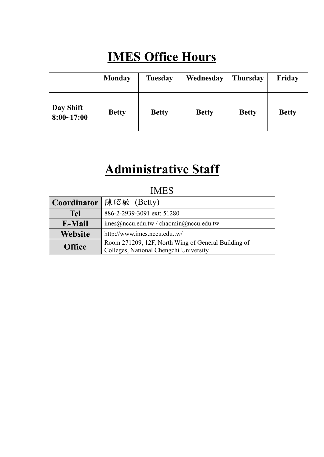# **IMES Office Hours**

|                             | <b>Monday</b> | <b>Tuesday</b> | Wednesday    | <b>Thursday</b> | Friday       |
|-----------------------------|---------------|----------------|--------------|-----------------|--------------|
| Day Shift<br>$8:00 - 17:00$ | <b>Betty</b>  | <b>Betty</b>   | <b>Betty</b> | <b>Betty</b>    | <b>Betty</b> |

# **Administrative Staff**

| <b>IMES</b>    |                                                                                                |  |  |
|----------------|------------------------------------------------------------------------------------------------|--|--|
|                | Coordinator 陳昭敏 (Betty)                                                                        |  |  |
| <b>Tel</b>     | 886-2-2939-3091 ext: 51280                                                                     |  |  |
| E-Mail         | imes@nccu.edu.tw / chanin@nccu.edu.tw                                                          |  |  |
| <b>Website</b> | http://www.imes.nccu.edu.tw/                                                                   |  |  |
| <b>Office</b>  | Room 271209, 12F, North Wing of General Building of<br>Colleges, National Chengchi University. |  |  |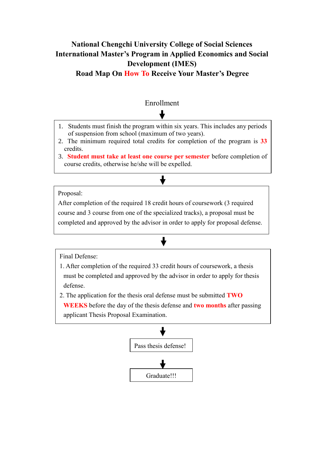### **National Chengchi University College of Social Sciences International Master's Program in Applied Economics and Social Development (IMES)**

#### **Road Map On How To Receive Your Master's Degree**

### Enrollment

- 1. Students must finish the program within six years. This includes any periods of suspension from school (maximum of two years).
- 2. The minimum required total credits for completion of the program is **33** credits.
- 3. **Student must take at least one course per semester** before completion of course credits, otherwise he/she will be expelled.

#### Proposal:

After completion of the required 18 credit hours of coursework (3 required course and 3 course from one of the specialized tracks), a proposal must be completed and approved by the advisor in order to apply for proposal defense.

 $\ddagger$ 

Final Defense:

- 1. After completion of the required 33 credit hours of coursework, a thesis must be completed and approved by the advisor in order to apply for thesis defense.
- 2. The application for the thesis oral defense must be submitted **TWO** 
	- **WEEKS** before the day of the thesis defense and **two months** after passing applicant Thesis Proposal Examination.

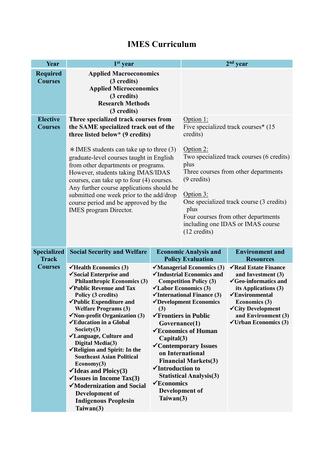#### **Year 1 st year 2 nd year Required Courses Applied Macroeconomics (3 credits) Applied Microeconomics (3 credits) Research Methods (3 credits) Elective Courses Three specialized track courses from the SAME specialized track out of the three listed below\* (9 credits)**  $*$  IMES students can take up to three (3) graduate-level courses taught in English from other departments or programs. However, students taking IMAS/IDAS courses, can take up to four (4) courses. Any further course applications should be submitted one week prior to the add/drop course period and be approved by the IMES program Director. Option 1: Five specialized track courses\* (15 credits) Option 2: Two specialized track courses (6 credits) plus Three courses from other departments (9 credits) Option 3: One specialized track course (3 credits) plus Four courses from other departments including one IDAS or IMAS course (12 credits) **Specialized Track Courses Social Security and Welfare Economic Analysis and Policy Evaluation Environment and Resources Health Economics (3) Social Enterprise and Philanthropic Economics (3) Public Revenue and Tax Policy (3 credits) Public Expenditure and Welfare Programs (3) Non-profit Organization (3) Education in a Global Society(3) Language, Culture and Digital Media(3) Religion and Spirit: In the Southeast Asian Political Economy(3) Ideas and Ploicy(3)**  $\checkmark$  Issues in Income Tax(3) **Managerial Economics (3) Industrial Economics and Competition Policy (3) Labor Economics (3) International Finance (3) Development Economics (3) Frontiers in Public Governance(1) Economics of Human Capital(3) Contemporary Issues on International Financial Markets(3) Introduction to Statistical Analysis(3) Real Estate Finance and Investment (3) Geo-informatics and its Applications (3) Environmental Economics (3) City Development and Environment (3) Urban Economics (3)**

**Economics** 

**Taiwan(3)**

**Development of** 

**Modernization and Social** 

**Development of Indigenous Peoplesin** 

**Taiwan(3)**

### **IMES Curriculum**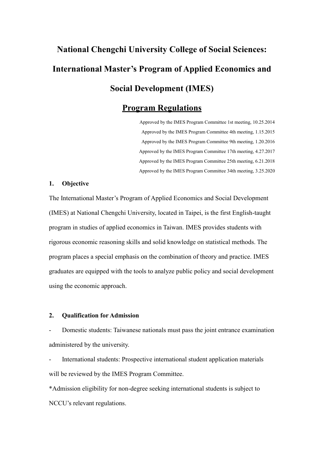# **National Chengchi University College of Social Sciences: International Master's Program of Applied Economics and Social Development (IMES)**

### **Program Regulations**

Approved by the IMES Program Committee 1st meeting, 10.25.2014 Approved by the IMES Program Committee 4th meeting, 1.15.2015 Approved by the IMES Program Committee 9th meeting, 1.20.2016 Approved by the IMES Program Committee 17th meeting, 4.27.2017 Approved by the IMES Program Committee 25th meeting, 6.21.2018 Approved by the IMES Program Committee 34th meeting, 3.25.2020

#### **1. Objective**

The International Master's Program of Applied Economics and Social Development (IMES) at National Chengchi University, located in Taipei, is the first English-taught program in studies of applied economics in Taiwan. IMES provides students with rigorous economic reasoning skills and solid knowledge on statistical methods. The program places a special emphasis on the combination of theory and practice. IMES graduates are equipped with the tools to analyze public policy and social development using the economic approach.

#### **2. Qualification for Admission**

- Domestic students: Taiwanese nationals must pass the joint entrance examination administered by the university.

International students: Prospective international student application materials will be reviewed by the IMES Program Committee.

\*Admission eligibility for non-degree seeking international students is subject to NCCU's relevant regulations.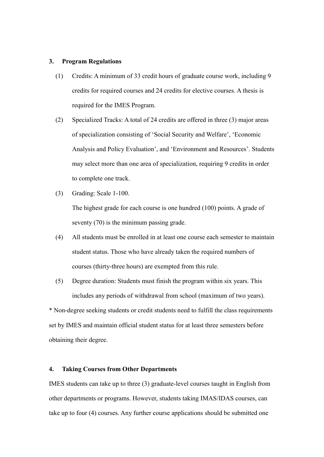#### **3. Program Regulations**

- (1) Credits: A minimum of 33 credit hours of graduate course work, including 9 credits for required courses and 24 credits for elective courses. A thesis is required for the IMES Program.
- (2) Specialized Tracks: A total of 24 credits are offered in three (3) major areas of specialization consisting of 'Social Security and Welfare', 'Economic Analysis and Policy Evaluation', and 'Environment and Resources'. Students may select more than one area of specialization, requiring 9 credits in order to complete one track.
- (3) Grading: Scale 1-100.

The highest grade for each course is one hundred (100) points. A grade of seventy (70) is the minimum passing grade.

- (4) All students must be enrolled in at least one course each semester to maintain student status. Those who have already taken the required numbers of courses (thirty-three hours) are exempted from this rule.
- (5) Degree duration: Students must finish the program within six years. This includes any periods of withdrawal from school (maximum of two years).

\* Non-degree seeking students or credit students need to fulfill the class requirements set by IMES and maintain official student status for at least three semesters before obtaining their degree.

#### **4. Taking Courses from Other Departments**

IMES students can take up to three (3) graduate-level courses taught in English from other departments or programs. However, students taking IMAS/IDAS courses, can take up to four (4) courses. Any further course applications should be submitted one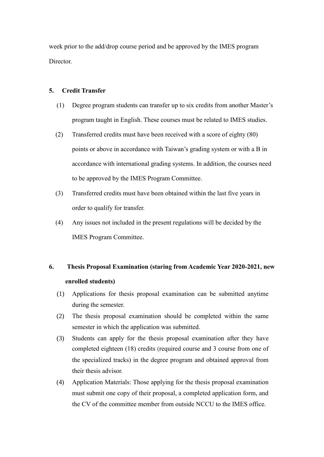week prior to the add/drop course period and be approved by the IMES program Director.

#### **5. Credit Transfer**

- (1) Degree program students can transfer up to six credits from another Master's program taught in English. These courses must be related to IMES studies.
- (2) Transferred credits must have been received with a score of eighty (80) points or above in accordance with Taiwan's grading system or with a B in accordance with international grading systems. In addition, the courses need to be approved by the IMES Program Committee.
- (3) Transferred credits must have been obtained within the last five years in order to qualify for transfer.
- (4) Any issues not included in the present regulations will be decided by the IMES Program Committee.

### **6. Thesis Proposal Examination (staring from Academic Year 2020-2021, new enrolled students)**

- (1) Applications for thesis proposal examination can be submitted anytime during the semester.
- (2) The thesis proposal examination should be completed within the same semester in which the application was submitted.
- (3) Students can apply for the thesis proposal examination after they have completed eighteen (18) credits (required course and 3 course from one of the specialized tracks) in the degree program and obtained approval from their thesis advisor.
- (4) Application Materials: Those applying for the thesis proposal examination must submit one copy of their proposal, a completed application form, and the CV of the committee member from outside NCCU to the IMES office.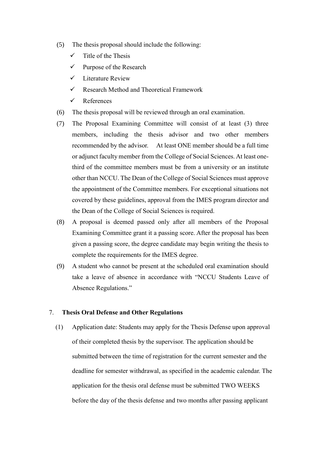- (5) The thesis proposal should include the following:
	- $\checkmark$  Title of the Thesis
	- $\checkmark$  Purpose of the Research
	- $\checkmark$  Literature Review
	- $\checkmark$  Research Method and Theoretical Framework
	- $\checkmark$  References
- (6) The thesis proposal will be reviewed through an oral examination.
- (7) The Proposal Examining Committee will consist of at least (3) three members, including the thesis advisor and two other members recommended by the advisor. At least ONE member should be a full time or adjunct faculty member from the College of Social Sciences. At least onethird of the committee members must be from a university or an institute other than NCCU. The Dean of the College of Social Sciences must approve the appointment of the Committee members. For exceptional situations not covered by these guidelines, approval from the IMES program director and the Dean of the College of Social Sciences is required.
- (8) A proposal is deemed passed only after all members of the Proposal Examining Committee grant it a passing score. After the proposal has been given a passing score, the degree candidate may begin writing the thesis to complete the requirements for the IMES degree.
- (9) A student who cannot be present at the scheduled oral examination should take a leave of absence in accordance with "NCCU Students Leave of Absence Regulations."

#### 7. **Thesis Oral Defense and Other Regulations**

(1) Application date: Students may apply for the Thesis Defense upon approval of their completed thesis by the supervisor. The application should be submitted between the time of registration for the current semester and the deadline for semester withdrawal, as specified in the academic calendar. The application for the thesis oral defense must be submitted TWO WEEKS before the day of the thesis defense and two months after passing applicant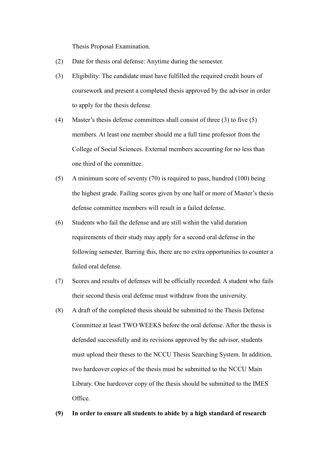Thesis Proposal Examination.

- (2) Date for thesis oral defense: Anytime during the semester.
- (3) Eligibility: The candidate must have fulfilled the required credit hours of coursework and present a completed thesis approved by the advisor in order to apply for the thesis defense.
- (4) Master's thesis defense committees shall consist of three (3) to five (5) members. At least one member should me a full time professor from the College of Social Sciences. External members accounting for no less than one third of the committee.
- (5) A minimum score of seventy (70) is required to pass, hundred (100) being the highest grade. Failing scores given by one half or more of Master's thesis defense committee members will result in a failed defense.
- (6) Students who fail the defense and are still within the valid duration requirements of their study may apply for a second oral defense in the following semester. Barring this, there are no extra opportunities to counter a failed oral defense.
- (7) Scores and results of defenses will be officially recorded. A student who fails their second thesis oral defense must withdraw from the university.
- (8) A draft of the completed thesis should be submitted to the Thesis Defense Committee at least TWO WEEKS before the oral defense. After the thesis is defended successfully and its revisions approved by the advisor, students must upload their theses to the NCCU Thesis Searching System. In addition, two hardcover copies of the thesis must be submitted to the NCCU Main Library. One hardcover copy of the thesis should be submitted to the IMES Office.

#### **(9) In order to ensure all students to abide by a high standard of research**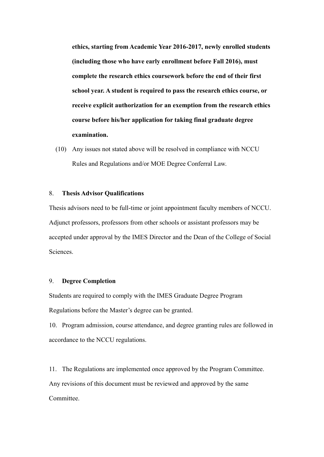**ethics, starting from Academic Year 2016-2017, newly enrolled students (including those who have early enrollment before Fall 2016), must complete the research ethics coursework before the end of their first school year. A student is required to pass the research ethics course, or receive explicit authorization for an exemption from the research ethics course before his/her application for taking final graduate degree examination.**

(10) Any issues not stated above will be resolved in compliance with NCCU Rules and Regulations and/or MOE Degree Conferral Law.

#### 8. **Thesis Advisor Qualifications**

Thesis advisors need to be full-time or joint appointment faculty members of NCCU. Adjunct professors, professors from other schools or assistant professors may be accepted under approval by the IMES Director and the Dean of the College of Social Sciences.

#### 9. **Degree Completion**

Students are required to comply with the IMES Graduate Degree Program Regulations before the Master's degree can be granted.

10. Program admission, course attendance, and degree granting rules are followed in accordance to the NCCU regulations.

11. The Regulations are implemented once approved by the Program Committee. Any revisions of this document must be reviewed and approved by the same Committee.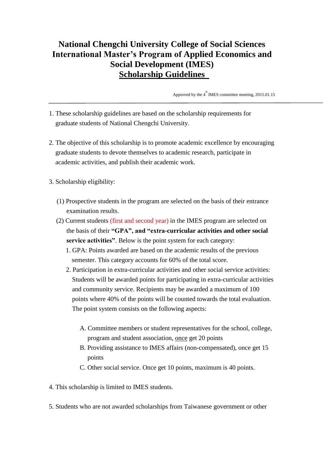### **National Chengchi University College of Social Sciences International Master's Program of Applied Economics and Social Development (IMES) Scholarship Guidelines**

Approved by the  $4^{\text{th}}$  IMES committee meeting, 2015.01.15

- 1. These scholarship guidelines are based on the scholarship requirements for graduate students of National Chengchi University.
- 2. The objective of this scholarship is to promote academic excellence by encouraging graduate students to devote themselves to academic research, participate in academic activities, and publish their academic work.
- 3. Scholarship eligibility:
	- (1) Prospective students in the program are selected on the basis of their entrance examination results.
	- (2) Current students (first and second year) in the IMES program are selected on the basis of their **"GPA", and "extra-curricular activities and other social service activities"**. Below is the point system for each category:
		- 1. GPA: Points awarded are based on the academic results of the previous semester. This category accounts for 60% of the total score.
		- 2. Participation in extra-curricular activities and other social service activities: Students will be awarded points for participating in extra-curricular activities and community service. Recipients may be awarded a maximum of 100 points where 40% of the points will be counted towards the total evaluation. The point system consists on the following aspects:
			- A. Committee members or student representatives for the school, college, program and student association, once get 20 points
			- B. Providing assistance to IMES affairs (non-compensated), once get 15 points
			- C. Other social service. Once get 10 points, maximum is 40 points.
- 4. This scholarship is limited to IMES students.
- 5. Students who are not awarded scholarships from Taiwanese government or other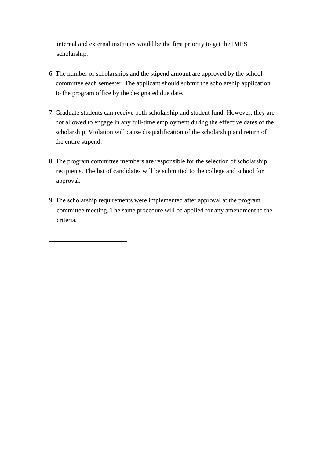internal and external institutes would be the first priority to get the IMES scholarship.

- 6. The number of scholarships and the stipend amount are approved by the school committee each semester. The applicant should submit the scholarship application to the program office by the designated due date.
- 7. Graduate students can receive both scholarship and student fund. However, they are not allowed to engage in any full-time employment during the effective dates of the scholarship. Violation will cause disqualification of the scholarship and return of the entire stipend.
- 8. The program committee members are responsible for the selection of scholarship recipients. The list of candidates will be submitted to the college and school for approval.
- 9. The scholarship requirements were implemented after approval at the program committee meeting. The same procedure will be applied for any amendment to the criteria.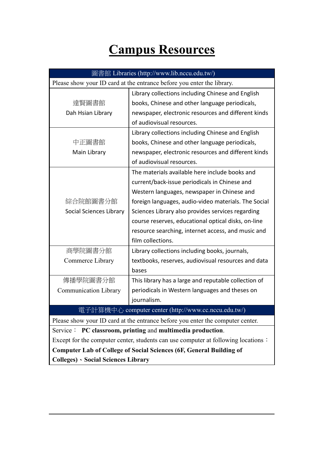# **Campus Resources**

| 圖書館 Libraries (http://www.lib.nccu.edu.tw/)                                       |                                                                                |  |  |
|-----------------------------------------------------------------------------------|--------------------------------------------------------------------------------|--|--|
| Please show your ID card at the entrance before you enter the library.            |                                                                                |  |  |
|                                                                                   | Library collections including Chinese and English                              |  |  |
| 達賢圖書館                                                                             | books, Chinese and other language periodicals,                                 |  |  |
| Dah Hsian Library                                                                 | newspaper, electronic resources and different kinds                            |  |  |
|                                                                                   | of audiovisual resources.                                                      |  |  |
|                                                                                   | Library collections including Chinese and English                              |  |  |
| 中正圖書館                                                                             | books, Chinese and other language periodicals,                                 |  |  |
| Main Library                                                                      | newspaper, electronic resources and different kinds                            |  |  |
|                                                                                   | of audiovisual resources.                                                      |  |  |
|                                                                                   | The materials available here include books and                                 |  |  |
|                                                                                   | current/back-issue periodicals in Chinese and                                  |  |  |
|                                                                                   | Western languages, newspaper in Chinese and                                    |  |  |
| 綜合院館圖書分館                                                                          | foreign languages, audio-video materials. The Social                           |  |  |
| Social Sciences Library                                                           | Sciences Library also provides services regarding                              |  |  |
|                                                                                   | course reserves, educational optical disks, on-line                            |  |  |
|                                                                                   | resource searching, internet access, and music and                             |  |  |
|                                                                                   | film collections.                                                              |  |  |
| 商學院圖書分館                                                                           | Library collections including books, journals,                                 |  |  |
| Commerce Library                                                                  | textbooks, reserves, audiovisual resources and data                            |  |  |
|                                                                                   | bases                                                                          |  |  |
| 傳播學院圖書分館                                                                          | This library has a large and reputable collection of                           |  |  |
| <b>Communication Library</b>                                                      | periodicals in Western languages and theses on                                 |  |  |
|                                                                                   | journalism.                                                                    |  |  |
|                                                                                   | 子計算機中心    computer center (http://www.cc.nccu.edu.tw/)                         |  |  |
|                                                                                   | Please show your ID card at the entrance before you enter the computer center. |  |  |
|                                                                                   | Service: PC classroom, printing and multimedia production.                     |  |  |
| Except for the computer center, students can use computer at following locations: |                                                                                |  |  |
| <b>Computer Lab of College of Social Sciences (6F, General Building of</b>        |                                                                                |  |  |
| <b>Colleges) · Social Sciences Library</b>                                        |                                                                                |  |  |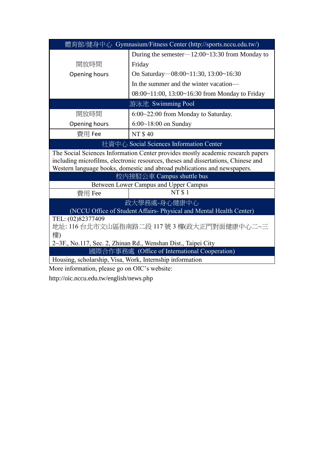| 體育館/健身中心 Gymnasium/Fitness Center (http://sports.nccu.edu.tw/)                                                                                                                                                                                   |                                                   |  |  |
|--------------------------------------------------------------------------------------------------------------------------------------------------------------------------------------------------------------------------------------------------|---------------------------------------------------|--|--|
|                                                                                                                                                                                                                                                  | During the semester $-12:00-13:30$ from Monday to |  |  |
| 開放時間                                                                                                                                                                                                                                             | Friday                                            |  |  |
| Opening hours                                                                                                                                                                                                                                    | On Saturday-08:00~11:30, 13:00~16:30              |  |  |
|                                                                                                                                                                                                                                                  | In the summer and the winter vacation—            |  |  |
|                                                                                                                                                                                                                                                  | 08:00~11:00, 13:00~16:30 from Monday to Friday    |  |  |
|                                                                                                                                                                                                                                                  | 游泳池 Swimming Pool                                 |  |  |
| 開放時間                                                                                                                                                                                                                                             | $6:00~22:00$ from Monday to Saturday.             |  |  |
| Opening hours                                                                                                                                                                                                                                    | $6:00~18:00$ on Sunday                            |  |  |
| 費用 Fee                                                                                                                                                                                                                                           | <b>NT \$40</b>                                    |  |  |
| 社資中心 Social Sciences Information Center                                                                                                                                                                                                          |                                                   |  |  |
| The Social Sciences Information Center provides mostly academic research papers<br>including microfilms, electronic resources, theses and dissertations, Chinese and<br>Western language books, domestic and abroad publications and newspapers. |                                                   |  |  |
|                                                                                                                                                                                                                                                  | 校內接駁公車 Campus shuttle bus                         |  |  |
|                                                                                                                                                                                                                                                  | Between Lower Campus and Upper Campus             |  |  |
| 費用 Fee                                                                                                                                                                                                                                           | <b>NT \$1</b>                                     |  |  |
| 政大學務處-身心健康中心                                                                                                                                                                                                                                     |                                                   |  |  |
| (NCCU Office of Student Affairs-Physical and Mental Health Center)                                                                                                                                                                               |                                                   |  |  |
| TEL: (02)82377409<br>地址: 116 台北市文山區指南路二段 117號 3 樓(政大正門對面健康中心二~三                                                                                                                                                                                  |                                                   |  |  |
| 樓)                                                                                                                                                                                                                                               |                                                   |  |  |
| 2~3F., No.117, Sec. 2, Zhinan Rd., Wenshan Dist., Taipei City                                                                                                                                                                                    |                                                   |  |  |
| 國際合作事務處 (Office of International Cooperation)                                                                                                                                                                                                    |                                                   |  |  |
| Housing, scholarship, Visa, Work, Internship information                                                                                                                                                                                         |                                                   |  |  |

More information, please go on OIC's website:

http://oic.nccu.edu.tw/english/news.php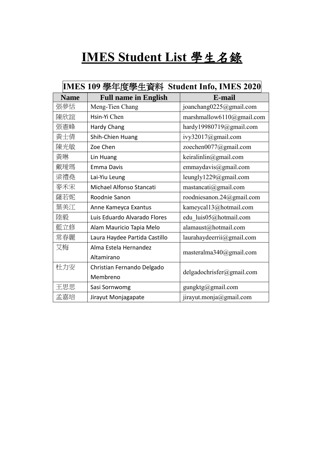# **IMES Student List** 學生名錄

| IMES 109 學年度學生資料 Student Info, IMES 2020 |                               |                                             |  |  |
|------------------------------------------|-------------------------------|---------------------------------------------|--|--|
| <b>Name</b>                              | <b>Full name in English</b>   | E-mail                                      |  |  |
| 張夢恬                                      | Meng-Tien Chang               | joanchang0225@gmail.com                     |  |  |
| 陳欣誼                                      | Hsin-Yi Chen                  | marshmallow6110@gmail.com                   |  |  |
| 張憲峰                                      | Hardy Chang                   | hardy19980719@gmail.com                     |  |  |
| 黃士倩                                      | Shih-Chien Huang              | ivy32017@gmail.com                          |  |  |
| 陳光敏                                      | Zoe Chen                      | zoechen0077@gmail.com                       |  |  |
| 黃琳                                       | Lin Huang                     | keiralinlin@gmail.com                       |  |  |
| 戴璦瑪                                      | <b>Emma Davis</b>             | emmaydavis@gmail.com                        |  |  |
| 梁禮堯                                      | Lai-Yiu Leung                 | leungly1229@gmail.com                       |  |  |
| 麥禾宋                                      | Michael Alfonso Stancati      | $\text{mastancati}(\overline{a})$ gmail.com |  |  |
| 薩若妮                                      | Roodnie Sanon                 | roodniesanon.24@gmail.com                   |  |  |
| 葉美江                                      | Anne Kameyca Exantus          | kameycal13@hotmail.com                      |  |  |
| 陸毅                                       | Luis Eduardo Alvarado Flores  | edu luis05@hotmail.com                      |  |  |
| 藍立修                                      | Alam Mauricio Tapia Melo      | alamaust@hotmail.com                        |  |  |
| 常春麗                                      | Laura Haydee Partida Castillo | laurahaydeerrii@gmail.com                   |  |  |
| 艾梅                                       | Alma Estela Hernandez         |                                             |  |  |
|                                          | Altamirano                    | masteralma340@gmail.com                     |  |  |
| 杜力安                                      | Christian Fernando Delgado    |                                             |  |  |
|                                          | Membreno                      | $del$ gadochrisfer@gmail.com                |  |  |
| 王思思                                      | Sasi Sornwomg                 | gungktg@gmail.com                           |  |  |
| 孟嘉培                                      | Jirayut Monjagapate           | jirayut.monja@gmail.com                     |  |  |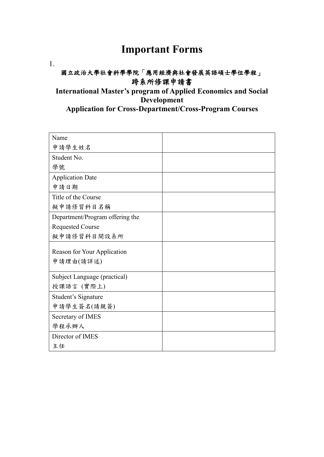## **Important Forms**

1.

### 國立政治大學社會科學學院「應用經濟與社會發展英語碩士學位學程」 跨系所修課申請書

### **International Master's program of Applied Economics and Social Development Application for Cross-Department/Cross-Program Courses**

| Name                            |  |
|---------------------------------|--|
| 申請學生姓名                          |  |
| Student No.                     |  |
| 學號                              |  |
| <b>Application Date</b>         |  |
| 申請日期                            |  |
| Title of the Course             |  |
| 擬申請修習科目名稱                       |  |
| Department/Program offering the |  |
| <b>Requested Course</b>         |  |
| 擬申請修習科目開設系所                     |  |
|                                 |  |
|                                 |  |
| Reason for Your Application     |  |
| 申請理由(請詳述)                       |  |
| Subject Language (practical)    |  |
| 授課語言 (實際上)                      |  |
| Student's Signature             |  |
| 申請學生簽名(請親簽)                     |  |
| Secretary of IMES               |  |
| 學程承辦人                           |  |
| Director of IMES                |  |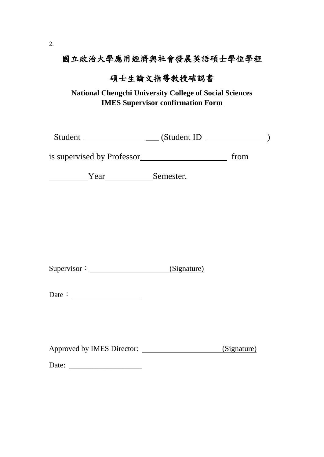### 國立政治大學應用經濟與社會發展英語碩士學位學程

### 碩士生論文指導教授確認書

**National Chengchi University College of Social Sciences IMES Supervisor confirmation Form** 

Student \_\_\_\_\_\_\_\_\_\_\_\_\_\_\_\_\_\_(Student ID \_\_\_\_\_\_\_\_\_\_\_\_)

is supervised by Professor from

Year
Semester.

Supervisor: <u>(Signature)</u>

Approved by IMES Director: (Signature)

Date: \_\_\_\_\_\_\_\_\_\_\_\_\_\_\_\_\_\_\_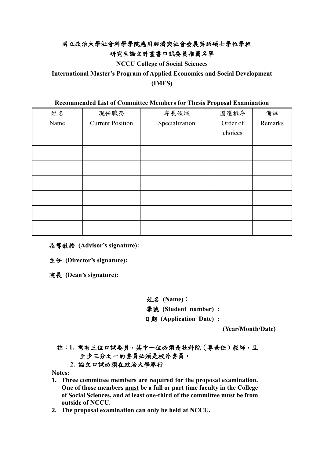### 國立政治大學社會科學學院應用經濟與社會發展英語碩士學位學程 研究生論文計畫書口試委員推薦名單

**NCCU College of Social Sciences** 

**International Master's Program of Applied Economics and Social Development (IMES)**

#### **Recommended List of Committee Members for Thesis Proposal Examination**

| 姓名   | 現任職務                    | 專長領域           | 圈選排序     | 備註      |
|------|-------------------------|----------------|----------|---------|
| Name | <b>Current Position</b> | Specialization | Order of | Remarks |
|      |                         |                | choices  |         |
|      |                         |                |          |         |
|      |                         |                |          |         |
|      |                         |                |          |         |
|      |                         |                |          |         |
|      |                         |                |          |         |
|      |                         |                |          |         |
|      |                         |                |          |         |
|      |                         |                |          |         |

指導教授 **(Advisor's signature):** 

主任 **(Director's signature):**

院長 **(Dean's signature):** 

姓名 **(Name)**:學號 **(Student number) :**  日期 **(Application Date) :** 

**(Year/Month/Date)** 

註:**1.** 需有三位口試委員,其中一位必須是社科院(專兼任)教師,且 至少三分之一的委員必須是校外委員。

#### **2.** 論文口試必須在政治大學舉行。

**Notes:**

- **1. Three committee members are required for the proposal examination. One of those members must be a full or part time faculty in the College of Social Sciences, and at least one-third of the committee must be from outside of NCCU.**
- **2. The proposal examination can only be held at NCCU.**